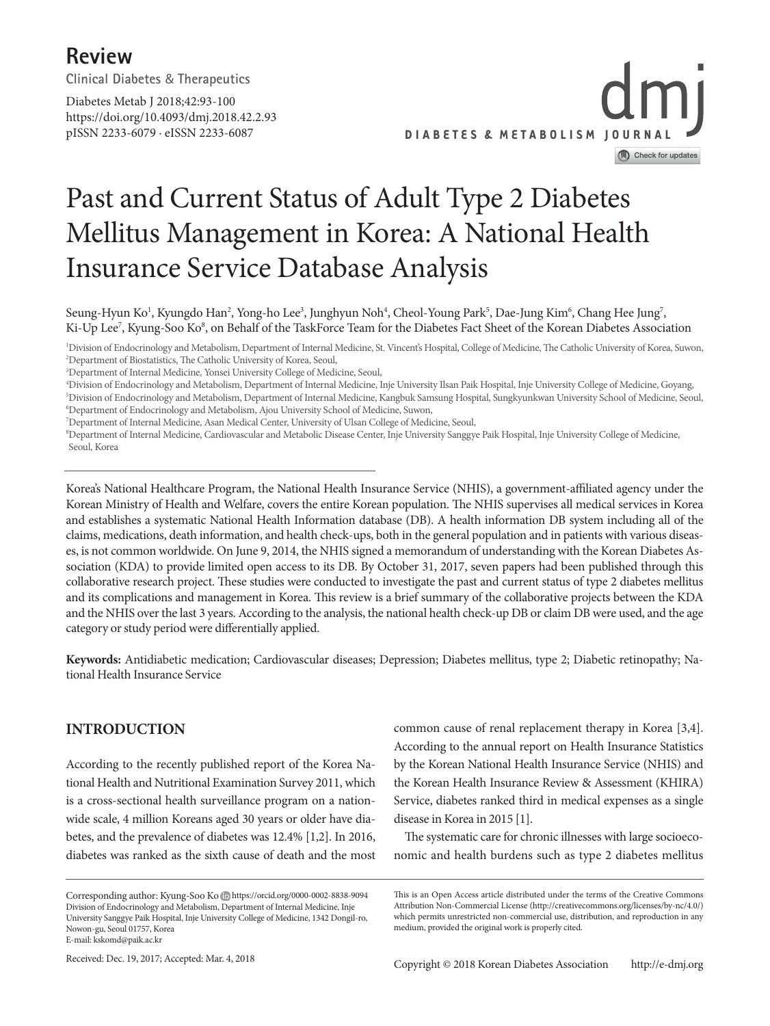## **Review**

**Clinical Diabetes** & **Therapeutics**

https://doi.org/10.4093/dmj.2018.42.2.93 pISSN 2233-6079 · eISSN 2233-6087 Diabetes Metab J 2018;42:93-100



## Past and Current Status of Adult Type 2 Diabetes Mellitus Management in Korea: A National Health Insurance Service Database Analysis

Seung-Hyun Ko<sup>1</sup>, Kyungdo Han<sup>2</sup>, Yong-ho Lee<sup>3</sup>, Junghyun Noh<sup>4</sup>, Cheol-Young Park<sup>5</sup>, Dae-Jung Kim<sup>6</sup>, Chang Hee Jung<sup>7</sup>, Ki-Up Lee<sup>7</sup>, Kyung-Soo Ko<sup>8</sup>, on Behalf of the TaskForce Team for the Diabetes Fact Sheet of the Korean Diabetes Association

1 Division of Endocrinology and Metabolism, Department of Internal Medicine, St. Vincent's Hospital, College of Medicine, The Catholic University of Korea, Suwon, 2 Department of Biostatistics, The Catholic University of Korea, Seoul,

4 Division of Endocrinology and Metabolism, Department of Internal Medicine, Inje University Ilsan Paik Hospital, Inje University College of Medicine, Goyang, 5 Division of Endocrinology and Metabolism, Department of Internal Medicine, Kangbuk Samsung Hospital, Sungkyunkwan University School of Medicine, Seoul,

6 Department of Endocrinology and Metabolism, Ajou University School of Medicine, Suwon,

8 Department of Internal Medicine, Cardiovascular and Metabolic Disease Center, Inje University Sanggye Paik Hospital, Inje University College of Medicine, Seoul, Korea

Korea's National Healthcare Program, the National Health Insurance Service (NHIS), a government-affiliated agency under the Korean Ministry of Health and Welfare, covers the entire Korean population. The NHIS supervises all medical services in Korea and establishes a systematic National Health Information database (DB). A health information DB system including all of the claims, medications, death information, and health check-ups, both in the general population and in patients with various diseases, is not common worldwide. On June 9, 2014, the NHIS signed a memorandum of understanding with the Korean Diabetes Association (KDA) to provide limited open access to its DB. By October 31, 2017, seven papers had been published through this collaborative research project. These studies were conducted to investigate the past and current status of type 2 diabetes mellitus and its complications and management in Korea. This review is a brief summary of the collaborative projects between the KDA and the NHIS over the last 3 years. According to the analysis, the national health check-up DB or claim DB were used, and the age category or study period were differentially applied.

**Keywords:** Antidiabetic medication; Cardiovascular diseases; Depression; Diabetes mellitus, type 2; Diabetic retinopathy; National Health Insurance Service

#### **INTRODUCTION**

According to the recently published report of the Korea National Health and Nutritional Examination Survey 2011, which is a cross-sectional health surveillance program on a nationwide scale, 4 million Koreans aged 30 years or older have diabetes, and the prevalence of diabetes was 12.4% [1,2]. In 2016, diabetes was ranked as the sixth cause of death and the most

According to the annual report on Health Insurance Statistics by the Korean National Health Insurance Service (NHIS) and the Korean Health Insurance Review & Assessment (KHIRA) Service, diabetes ranked third in medical expenses as a single disease in Korea in 2015 [1]. The systematic care for chronic illnesses with large socioeco-

nomic and health burdens such as type 2 diabetes mellitus

common cause of renal replacement therapy in Korea [3,4].

<sup>3</sup> Department of Internal Medicine, Yonsei University College of Medicine, Seoul,

<sup>7</sup> Department of Internal Medicine, Asan Medical Center, University of Ulsan College of Medicine, Seoul,

Corresponding author: Kyung-Soo Ko Dhttps://orcid.org/0000-0002-8838-9094 Division of Endocrinology and Metabolism, Department of Internal Medicine, Inje University Sanggye Paik Hospital, Inje University College of Medicine, 1342 Dongil-ro, Nowon-gu, Seoul 01757, Korea E-mail: kskomd@paik.ac.kr

This is an Open Access article distributed under the terms of the Creative Commons Attribution Non-Commercial License (http://creativecommons.org/licenses/by-nc/4.0/) which permits unrestricted non-commercial use, distribution, and reproduction in any medium, provided the original work is properly cited.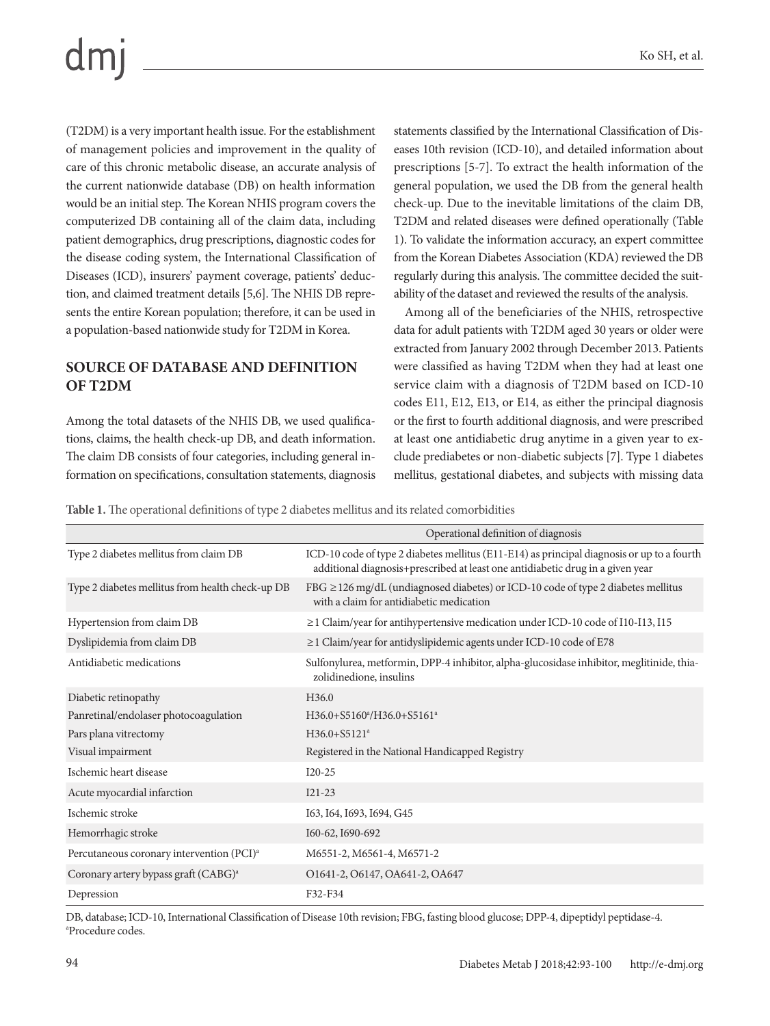(T2DM) is a very important health issue. For the establishment of management policies and improvement in the quality of care of this chronic metabolic disease, an accurate analysis of the current nationwide database (DB) on health information would be an initial step. The Korean NHIS program covers the computerized DB containing all of the claim data, including patient demographics, drug prescriptions, diagnostic codes for the disease coding system, the International Classification of Diseases (ICD), insurers' payment coverage, patients' deduction, and claimed treatment details [5,6]. The NHIS DB represents the entire Korean population; therefore, it can be used in a population-based nationwide study for T2DM in Korea.

#### **SOURCE OF DATABASE AND DEFINITION OF T2DM**

Among the total datasets of the NHIS DB, we used qualifications, claims, the health check-up DB, and death information. The claim DB consists of four categories, including general information on specifications, consultation statements, diagnosis

statements classified by the International Classification of Diseases 10th revision (ICD-10), and detailed information about prescriptions [5-7]. To extract the health information of the general population, we used the DB from the general health check-up. Due to the inevitable limitations of the claim DB, T2DM and related diseases were defined operationally (Table 1). To validate the information accuracy, an expert committee from the Korean Diabetes Association (KDA) reviewed the DB regularly during this analysis. The committee decided the suitability of the dataset and reviewed the results of the analysis.

Among all of the beneficiaries of the NHIS, retrospective data for adult patients with T2DM aged 30 years or older were extracted from January 2002 through December 2013. Patients were classified as having T2DM when they had at least one service claim with a diagnosis of T2DM based on ICD-10 codes E11, E12, E13, or E14, as either the principal diagnosis or the first to fourth additional diagnosis, and were prescribed at least one antidiabetic drug anytime in a given year to exclude prediabetes or non-diabetic subjects [7]. Type 1 diabetes mellitus, gestational diabetes, and subjects with missing data

**Table 1.** The operational definitions of type 2 diabetes mellitus and its related comorbidities

|                                                       | Operational definition of diagnosis                                                                                                                                          |
|-------------------------------------------------------|------------------------------------------------------------------------------------------------------------------------------------------------------------------------------|
| Type 2 diabetes mellitus from claim DB                | ICD-10 code of type 2 diabetes mellitus (E11-E14) as principal diagnosis or up to a fourth<br>additional diagnosis+prescribed at least one antidiabetic drug in a given year |
| Type 2 diabetes mellitus from health check-up DB      | FBG $\geq$ 126 mg/dL (undiagnosed diabetes) or ICD-10 code of type 2 diabetes mellitus<br>with a claim for antidiabetic medication                                           |
| Hypertension from claim DB                            | $\geq$ 1 Claim/year for antihypertensive medication under ICD-10 code of I10-I13, I15                                                                                        |
| Dyslipidemia from claim DB                            | $\geq$ 1 Claim/year for antidyslipidemic agents under ICD-10 code of E78                                                                                                     |
| Antidiabetic medications                              | Sulfonylurea, metformin, DPP-4 inhibitor, alpha-glucosidase inhibitor, meglitinide, thia-<br>zolidinedione, insulins                                                         |
| Diabetic retinopathy                                  | H <sub>36.0</sub>                                                                                                                                                            |
| Panretinal/endolaser photocoagulation                 | H36.0+S5160 <sup>a</sup> /H36.0+S5161 <sup>a</sup>                                                                                                                           |
| Pars plana vitrectomy                                 | $H36.0 + S5121a$                                                                                                                                                             |
| Visual impairment                                     | Registered in the National Handicapped Registry                                                                                                                              |
| Ischemic heart disease                                | $I20-25$                                                                                                                                                                     |
| Acute myocardial infarction                           | $I21-23$                                                                                                                                                                     |
| Ischemic stroke                                       | I63, I64, I693, I694, G45                                                                                                                                                    |
| Hemorrhagic stroke                                    | I60-62, I690-692                                                                                                                                                             |
| Percutaneous coronary intervention (PCI) <sup>a</sup> | M6551-2, M6561-4, M6571-2                                                                                                                                                    |
| Coronary artery bypass graft (CABG) <sup>a</sup>      | O1641-2, O6147, OA641-2, OA647                                                                                                                                               |
| Depression                                            | F32-F34                                                                                                                                                                      |

DB, database; ICD-10, International Classification of Disease 10th revision; FBG, fasting blood glucose; DPP-4, dipeptidyl peptidase-4. a Procedure codes.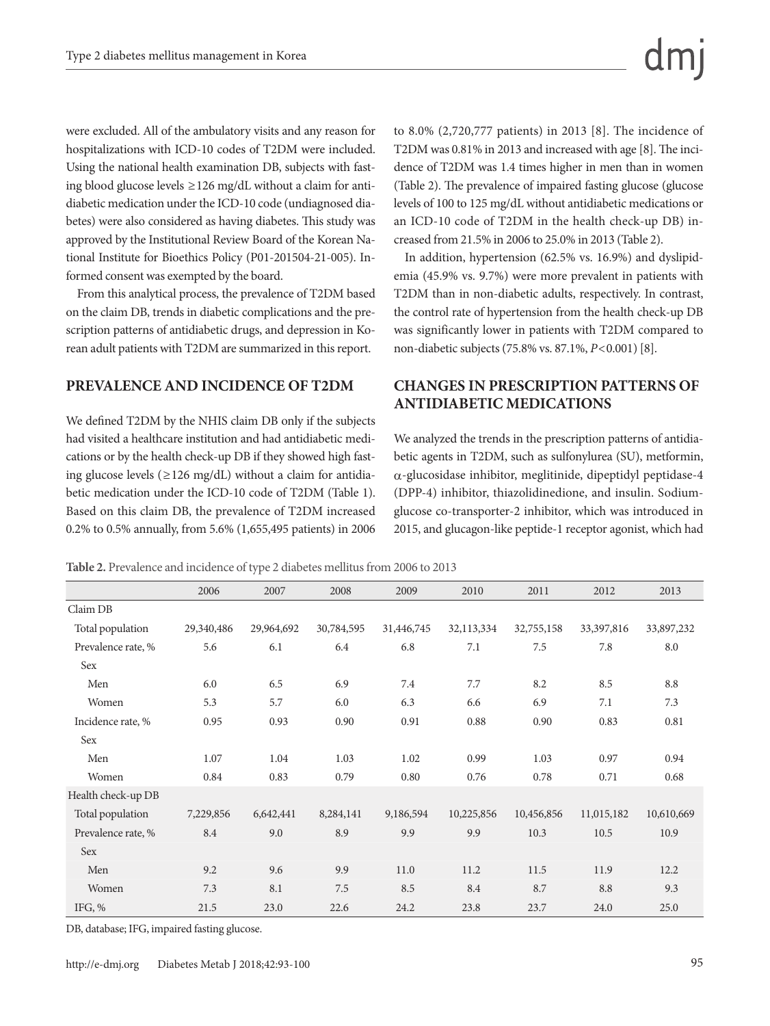were excluded. All of the ambulatory visits and any reason for hospitalizations with ICD-10 codes of T2DM were included. Using the national health examination DB, subjects with fasting blood glucose levels ≥126 mg/dL without a claim for antidiabetic medication under the ICD-10 code (undiagnosed diabetes) were also considered as having diabetes. This study was approved by the Institutional Review Board of the Korean National Institute for Bioethics Policy (P01-201504-21-005). Informed consent was exempted by the board.

From this analytical process, the prevalence of T2DM based on the claim DB, trends in diabetic complications and the prescription patterns of antidiabetic drugs, and depression in Korean adult patients with T2DM are summarized in this report.

#### **PREVALENCE AND INCIDENCE OF T2DM**

We defined T2DM by the NHIS claim DB only if the subjects had visited a healthcare institution and had antidiabetic medications or by the health check-up DB if they showed high fasting glucose levels ( $\geq$ 126 mg/dL) without a claim for antidiabetic medication under the ICD-10 code of T2DM (Table 1). Based on this claim DB, the prevalence of T2DM increased 0.2% to 0.5% annually, from 5.6% (1,655,495 patients) in 2006 to 8.0% (2,720,777 patients) in 2013 [8]. The incidence of T2DM was 0.81% in 2013 and increased with age [8]. The incidence of T2DM was 1.4 times higher in men than in women (Table 2). The prevalence of impaired fasting glucose (glucose levels of 100 to 125 mg/dL without antidiabetic medications or an ICD-10 code of T2DM in the health check-up DB) increased from 21.5% in 2006 to 25.0% in 2013 (Table 2).

In addition, hypertension (62.5% vs. 16.9%) and dyslipidemia (45.9% vs. 9.7%) were more prevalent in patients with T2DM than in non-diabetic adults, respectively. In contrast, the control rate of hypertension from the health check-up DB was significantly lower in patients with T2DM compared to non-diabetic subjects (75.8% vs. 87.1%, *P*<0.001) [8].

## **CHANGES IN PRESCRIPTION PATTERNS OF ANTIDIABETIC MEDICATIONS**

We analyzed the trends in the prescription patterns of antidiabetic agents in T2DM, such as sulfonylurea (SU), metformin, α-glucosidase inhibitor, meglitinide, dipeptidyl peptidase-4 (DPP-4) inhibitor, thiazolidinedione, and insulin. Sodiumglucose co-transporter-2 inhibitor, which was introduced in 2015, and glucagon-like peptide-1 receptor agonist, which had

**Table 2.** Prevalence and incidence of type 2 diabetes mellitus from 2006 to 2013

|                    | 2006       | 2007       | 2008       | 2009       | 2010       | 2011       | 2012       | 2013       |
|--------------------|------------|------------|------------|------------|------------|------------|------------|------------|
| Claim DB           |            |            |            |            |            |            |            |            |
| Total population   | 29,340,486 | 29,964,692 | 30,784,595 | 31,446,745 | 32,113,334 | 32,755,158 | 33,397,816 | 33,897,232 |
| Prevalence rate, % | 5.6        | 6.1        | 6.4        | 6.8        | 7.1        | 7.5        | 7.8        | 8.0        |
| Sex                |            |            |            |            |            |            |            |            |
| Men                | 6.0        | 6.5        | 6.9        | 7.4        | 7.7        | 8.2        | 8.5        | 8.8        |
| Women              | 5.3        | 5.7        | 6.0        | 6.3        | 6.6        | 6.9        | 7.1        | 7.3        |
| Incidence rate, %  | 0.95       | 0.93       | 0.90       | 0.91       | 0.88       | 0.90       | 0.83       | 0.81       |
| Sex                |            |            |            |            |            |            |            |            |
| Men                | 1.07       | 1.04       | 1.03       | 1.02       | 0.99       | 1.03       | 0.97       | 0.94       |
| Women              | 0.84       | 0.83       | 0.79       | 0.80       | 0.76       | 0.78       | 0.71       | 0.68       |
| Health check-up DB |            |            |            |            |            |            |            |            |
| Total population   | 7,229,856  | 6,642,441  | 8,284,141  | 9,186,594  | 10,225,856 | 10,456,856 | 11,015,182 | 10,610,669 |
| Prevalence rate, % | 8.4        | 9.0        | 8.9        | 9.9        | 9.9        | 10.3       | 10.5       | 10.9       |
| Sex                |            |            |            |            |            |            |            |            |
| Men                | 9.2        | 9.6        | 9.9        | 11.0       | 11.2       | 11.5       | 11.9       | 12.2       |
| Women              | 7.3        | 8.1        | 7.5        | 8.5        | 8.4        | 8.7        | 8.8        | 9.3        |
| IFG, $%$           | 21.5       | 23.0       | 22.6       | 24.2       | 23.8       | 23.7       | 24.0       | 25.0       |

DB, database; IFG, impaired fasting glucose.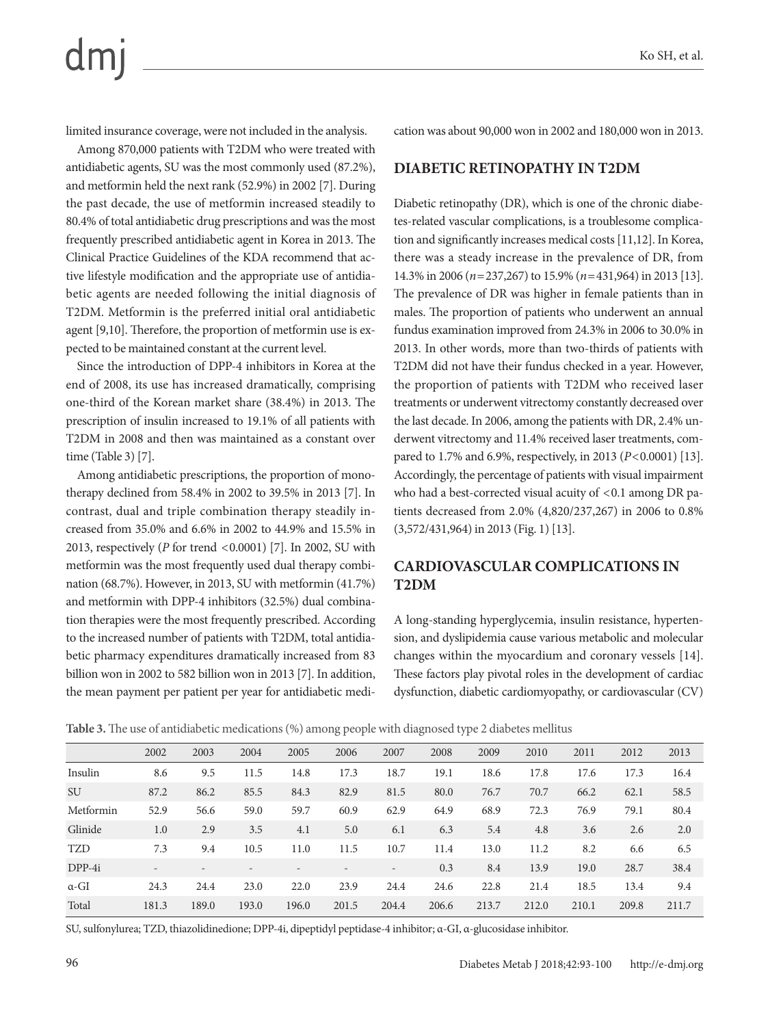limited insurance coverage, were not included in the analysis.

Among 870,000 patients with T2DM who were treated with antidiabetic agents, SU was the most commonly used (87.2%), and metformin held the next rank (52.9%) in 2002 [7]. During the past decade, the use of metformin increased steadily to 80.4% of total antidiabetic drug prescriptions and was the most frequently prescribed antidiabetic agent in Korea in 2013. The Clinical Practice Guidelines of the KDA recommend that active lifestyle modification and the appropriate use of antidiabetic agents are needed following the initial diagnosis of T2DM. Metformin is the preferred initial oral antidiabetic agent [9,10]. Therefore, the proportion of metformin use is expected to be maintained constant at the current level.

Since the introduction of DPP-4 inhibitors in Korea at the end of 2008, its use has increased dramatically, comprising one-third of the Korean market share (38.4%) in 2013. The prescription of insulin increased to 19.1% of all patients with T2DM in 2008 and then was maintained as a constant over time (Table 3) [7].

Among antidiabetic prescriptions, the proportion of monotherapy declined from 58.4% in 2002 to 39.5% in 2013 [7]. In contrast, dual and triple combination therapy steadily increased from 35.0% and 6.6% in 2002 to 44.9% and 15.5% in 2013, respectively (*P* for trend <0.0001) [7]. In 2002, SU with metformin was the most frequently used dual therapy combination (68.7%). However, in 2013, SU with metformin (41.7%) and metformin with DPP-4 inhibitors (32.5%) dual combination therapies were the most frequently prescribed. According to the increased number of patients with T2DM, total antidiabetic pharmacy expenditures dramatically increased from 83 billion won in 2002 to 582 billion won in 2013 [7]. In addition, the mean payment per patient per year for antidiabetic medication was about 90,000 won in 2002 and 180,000 won in 2013.

#### **DIABETIC RETINOPATHY IN T2DM**

Diabetic retinopathy (DR), which is one of the chronic diabetes-related vascular complications, is a troublesome complication and significantly increases medical costs [11,12]. In Korea, there was a steady increase in the prevalence of DR, from 14.3% in 2006 (*n*=237,267) to 15.9% (*n*=431,964) in 2013 [13]. The prevalence of DR was higher in female patients than in males. The proportion of patients who underwent an annual fundus examination improved from 24.3% in 2006 to 30.0% in 2013. In other words, more than two-thirds of patients with T2DM did not have their fundus checked in a year. However, the proportion of patients with T2DM who received laser treatments or underwent vitrectomy constantly decreased over the last decade. In 2006, among the patients with DR, 2.4% underwent vitrectomy and 11.4% received laser treatments, compared to 1.7% and 6.9%, respectively, in 2013 (*P*<0.0001) [13]. Accordingly, the percentage of patients with visual impairment who had a best-corrected visual acuity of  $< 0.1$  among DR patients decreased from 2.0% (4,820/237,267) in 2006 to 0.8% (3,572/431,964) in 2013 (Fig. 1) [13].

### **CARDIOVASCULAR COMPLICATIONS IN T2DM**

A long-standing hyperglycemia, insulin resistance, hypertension, and dyslipidemia cause various metabolic and molecular changes within the myocardium and coronary vessels [14]. These factors play pivotal roles in the development of cardiac dysfunction, diabetic cardiomyopathy, or cardiovascular (CV)

**Table 3.** The use of antidiabetic medications (%) among people with diagnosed type 2 diabetes mellitus

|              | 2002              | 2003  | 2004  | 2005  | 2006  | 2007                     | 2008  | 2009  | 2010  | 2011  | 2012  | 2013  |
|--------------|-------------------|-------|-------|-------|-------|--------------------------|-------|-------|-------|-------|-------|-------|
| Insulin      | 8.6               | 9.5   | 11.5  | 14.8  | 17.3  | 18.7                     | 19.1  | 18.6  | 17.8  | 17.6  | 17.3  | 16.4  |
| <b>SU</b>    | 87.2              | 86.2  | 85.5  | 84.3  | 82.9  | 81.5                     | 80.0  | 76.7  | 70.7  | 66.2  | 62.1  | 58.5  |
| Metformin    | 52.9              | 56.6  | 59.0  | 59.7  | 60.9  | 62.9                     | 64.9  | 68.9  | 72.3  | 76.9  | 79.1  | 80.4  |
| Glinide      | 1.0               | 2.9   | 3.5   | 4.1   | 5.0   | 6.1                      | 6.3   | 5.4   | 4.8   | 3.6   | 2.6   | 2.0   |
| <b>TZD</b>   | 7.3               | 9.4   | 10.5  | 11.0  | 11.5  | 10.7                     | 11.4  | 13.0  | 11.2  | 8.2   | 6.6   | 6.5   |
| $DPP-4i$     | $\qquad \qquad -$ |       |       |       |       | $\overline{\phantom{a}}$ | 0.3   | 8.4   | 13.9  | 19.0  | 28.7  | 38.4  |
| $\alpha$ -GI | 24.3              | 24.4  | 23.0  | 22.0  | 23.9  | 24.4                     | 24.6  | 22.8  | 21.4  | 18.5  | 13.4  | 9.4   |
| Total        | 181.3             | 189.0 | 193.0 | 196.0 | 201.5 | 204.4                    | 206.6 | 213.7 | 212.0 | 210.1 | 209.8 | 211.7 |

SU, sulfonylurea; TZD, thiazolidinedione; DPP-4i, dipeptidyl peptidase-4 inhibitor; α-GI, α-glucosidase inhibitor.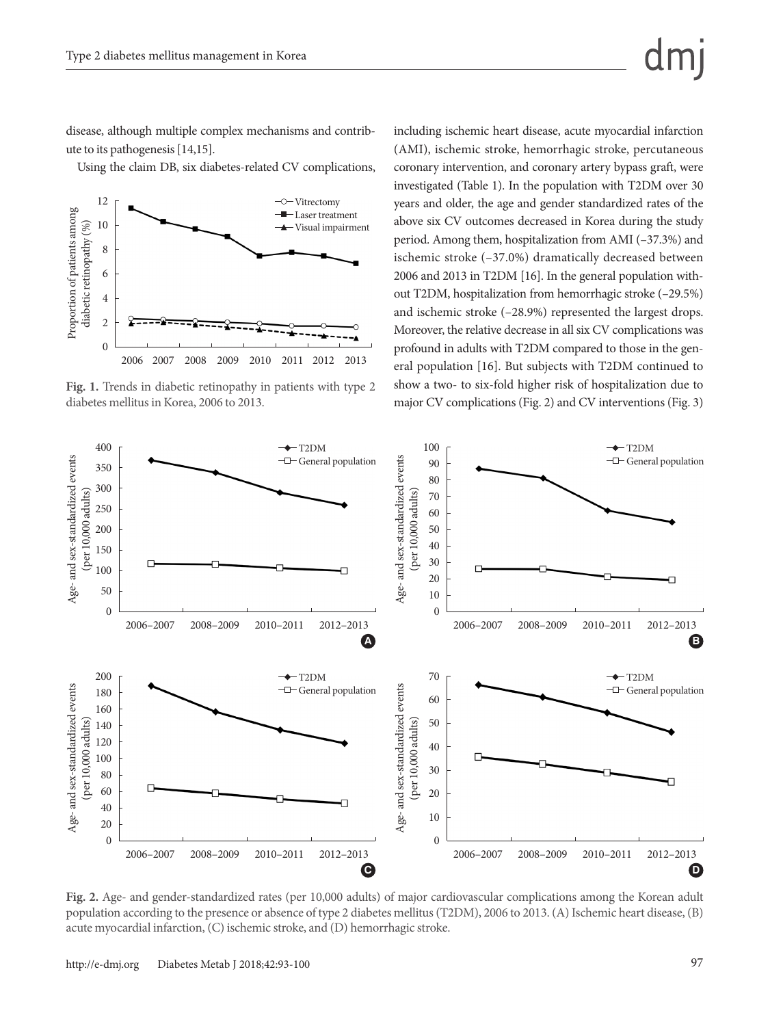disease, although multiple complex mechanisms and contribute to its pathogenesis [14,15].

Using the claim DB, six diabetes-related CV complications,



**Fig. 1.** Trends in diabetic retinopathy in patients with type 2 diabetes mellitus in Korea, 2006 to 2013.

including ischemic heart disease, acute myocardial infarction (AMI), ischemic stroke, hemorrhagic stroke, percutaneous coronary intervention, and coronary artery bypass graft, were investigated (Table 1). In the population with T2DM over 30 years and older, the age and gender standardized rates of the above six CV outcomes decreased in Korea during the study period. Among them, hospitalization from AMI (–37.3%) and ischemic stroke (–37.0%) dramatically decreased between 2006 and 2013 in T2DM [16]. In the general population without T2DM, hospitalization from hemorrhagic stroke (–29.5%) and ischemic stroke (–28.9%) represented the largest drops. Moreover, the relative decrease in all six CV complications was profound in adults with T2DM compared to those in the general population [16]. But subjects with T2DM continued to show a two- to six-fold higher risk of hospitalization due to major CV complications (Fig. 2) and CV interventions (Fig. 3)



**Fig. 2.** Age- and gender-standardized rates (per 10,000 adults) of major cardiovascular complications among the Korean adult population according to the presence or absence of type 2 diabetes mellitus (T2DM), 2006 to 2013. (A) Ischemic heart disease, (B) acute myocardial infarction, (C) ischemic stroke, and (D) hemorrhagic stroke.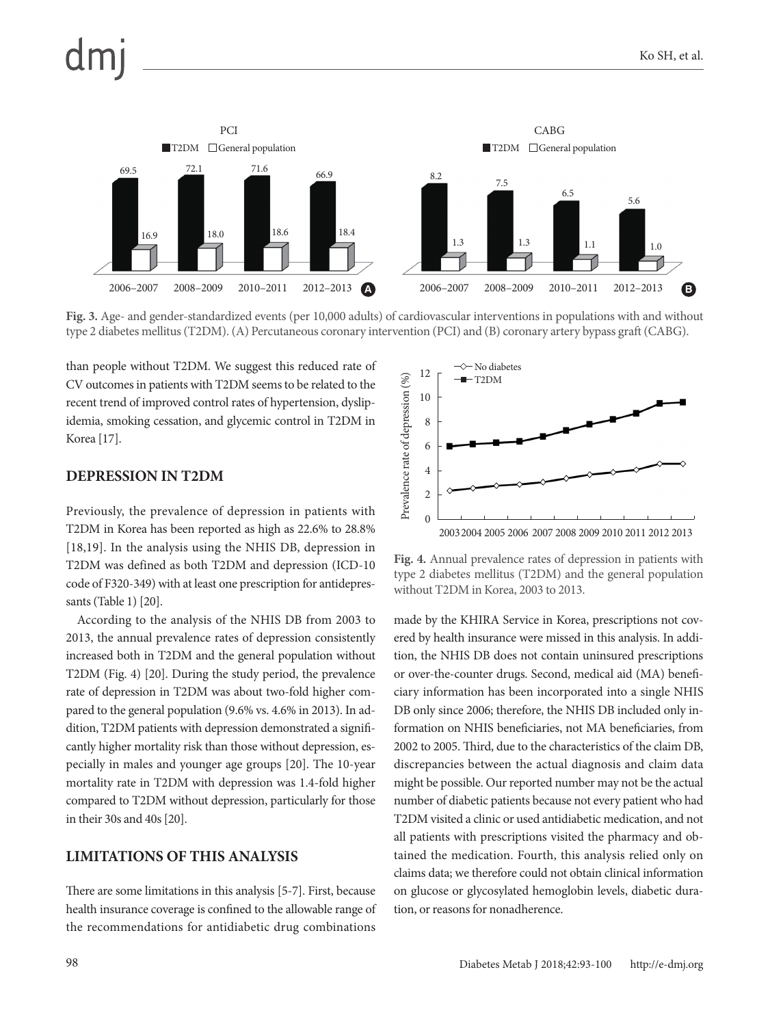

**Fig. 3.** Age- and gender-standardized events (per 10,000 adults) of cardiovascular interventions in populations with and without type 2 diabetes mellitus (T2DM). (A) Percutaneous coronary intervention (PCI) and (B) coronary artery bypass graft (CABG).

than people without T2DM. We suggest this reduced rate of CV outcomes in patients with T2DM seems to be related to the recent trend of improved control rates of hypertension, dyslipidemia, smoking cessation, and glycemic control in T2DM in Korea [17].

#### **DEPRESSION IN T2DM**

Previously, the prevalence of depression in patients with T2DM in Korea has been reported as high as 22.6% to 28.8% [18,19]. In the analysis using the NHIS DB, depression in T2DM was defined as both T2DM and depression (ICD-10 code of F320-349) with at least one prescription for antidepressants (Table 1) [20].

According to the analysis of the NHIS DB from 2003 to 2013, the annual prevalence rates of depression consistently increased both in T2DM and the general population without T2DM (Fig. 4) [20]. During the study period, the prevalence rate of depression in T2DM was about two-fold higher compared to the general population (9.6% vs. 4.6% in 2013). In addition, T2DM patients with depression demonstrated a significantly higher mortality risk than those without depression, especially in males and younger age groups [20]. The 10-year mortality rate in T2DM with depression was 1.4-fold higher compared to T2DM without depression, particularly for those in their 30s and 40s [20].

#### **LIMITATIONS OF THIS ANALYSIS**

There are some limitations in this analysis [5-7]. First, because health insurance coverage is confined to the allowable range of the recommendations for antidiabetic drug combinations



**Fig. 4.** Annual prevalence rates of depression in patients with type 2 diabetes mellitus (T2DM) and the general population without T2DM in Korea, 2003 to 2013.

made by the KHIRA Service in Korea, prescriptions not covered by health insurance were missed in this analysis. In addition, the NHIS DB does not contain uninsured prescriptions or over-the-counter drugs. Second, medical aid (MA) beneficiary information has been incorporated into a single NHIS DB only since 2006; therefore, the NHIS DB included only information on NHIS beneficiaries, not MA beneficiaries, from 2002 to 2005. Third, due to the characteristics of the claim DB, discrepancies between the actual diagnosis and claim data might be possible. Our reported number may not be the actual number of diabetic patients because not every patient who had T2DM visited a clinic or used antidiabetic medication, and not all patients with prescriptions visited the pharmacy and obtained the medication. Fourth, this analysis relied only on claims data; we therefore could not obtain clinical information on glucose or glycosylated hemoglobin levels, diabetic duration, or reasons for nonadherence.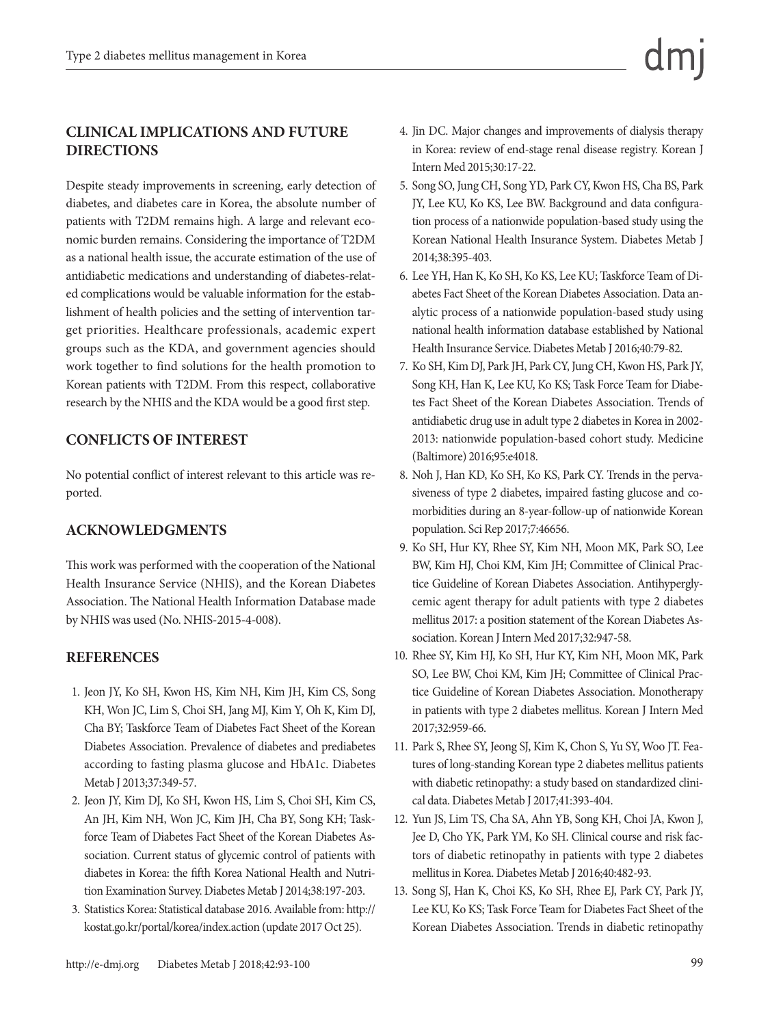### **CLINICAL IMPLICATIONS AND FUTURE DIRECTIONS**

Despite steady improvements in screening, early detection of diabetes, and diabetes care in Korea, the absolute number of patients with T2DM remains high. A large and relevant economic burden remains. Considering the importance of T2DM as a national health issue, the accurate estimation of the use of antidiabetic medications and understanding of diabetes-related complications would be valuable information for the establishment of health policies and the setting of intervention target priorities. Healthcare professionals, academic expert groups such as the KDA, and government agencies should work together to find solutions for the health promotion to Korean patients with T2DM. From this respect, collaborative research by the NHIS and the KDA would be a good first step.

#### **CONFLICTS OF INTEREST**

No potential conflict of interest relevant to this article was reported.

#### **ACKNOWLEDGMENTS**

This work was performed with the cooperation of the National Health Insurance Service (NHIS), and the Korean Diabetes Association. The National Health Information Database made by NHIS was used (No. NHIS-2015-4-008).

#### **REFERENCES**

- 1. Jeon JY, Ko SH, Kwon HS, Kim NH, Kim JH, Kim CS, Song KH, Won JC, Lim S, Choi SH, Jang MJ, Kim Y, Oh K, Kim DJ, Cha BY; Taskforce Team of Diabetes Fact Sheet of the Korean Diabetes Association. Prevalence of diabetes and prediabetes according to fasting plasma glucose and HbA1c. Diabetes Metab J 2013;37:349-57.
- 2. Jeon JY, Kim DJ, Ko SH, Kwon HS, Lim S, Choi SH, Kim CS, An JH, Kim NH, Won JC, Kim JH, Cha BY, Song KH; Taskforce Team of Diabetes Fact Sheet of the Korean Diabetes Association. Current status of glycemic control of patients with diabetes in Korea: the fifth Korea National Health and Nutrition Examination Survey. Diabetes Metab J 2014;38:197-203.
- 3. Statistics Korea: Statistical database 2016. Available from: http:// kostat.go.kr/portal/korea/index.action (update 2017 Oct 25).
- 4. Jin DC. Major changes and improvements of dialysis therapy in Korea: review of end-stage renal disease registry. Korean J Intern Med 2015;30:17-22.
- 5. Song SO, Jung CH, Song YD, Park CY, Kwon HS, Cha BS, Park JY, Lee KU, Ko KS, Lee BW. Background and data configuration process of a nationwide population-based study using the Korean National Health Insurance System. Diabetes Metab J 2014;38:395-403.
- 6. Lee YH, Han K, Ko SH, Ko KS, Lee KU; Taskforce Team of Diabetes Fact Sheet of the Korean Diabetes Association. Data analytic process of a nationwide population-based study using national health information database established by National Health Insurance Service. Diabetes Metab J 2016;40:79-82.
- 7. Ko SH, Kim DJ, Park JH, Park CY, Jung CH, Kwon HS, Park JY, Song KH, Han K, Lee KU, Ko KS; Task Force Team for Diabetes Fact Sheet of the Korean Diabetes Association. Trends of antidiabetic drug use in adult type 2 diabetes in Korea in 2002- 2013: nationwide population-based cohort study. Medicine (Baltimore) 2016;95:e4018.
- 8. Noh J, Han KD, Ko SH, Ko KS, Park CY. Trends in the pervasiveness of type 2 diabetes, impaired fasting glucose and comorbidities during an 8-year-follow-up of nationwide Korean population. Sci Rep 2017;7:46656.
- 9. Ko SH, Hur KY, Rhee SY, Kim NH, Moon MK, Park SO, Lee BW, Kim HJ, Choi KM, Kim JH; Committee of Clinical Practice Guideline of Korean Diabetes Association. Antihyperglycemic agent therapy for adult patients with type 2 diabetes mellitus 2017: a position statement of the Korean Diabetes Association. Korean J Intern Med 2017;32:947-58.
- 10. Rhee SY, Kim HJ, Ko SH, Hur KY, Kim NH, Moon MK, Park SO, Lee BW, Choi KM, Kim JH; Committee of Clinical Practice Guideline of Korean Diabetes Association. Monotherapy in patients with type 2 diabetes mellitus. Korean J Intern Med 2017;32:959-66.
- 11. Park S, Rhee SY, Jeong SJ, Kim K, Chon S, Yu SY, Woo JT. Features of long-standing Korean type 2 diabetes mellitus patients with diabetic retinopathy: a study based on standardized clinical data. Diabetes Metab J 2017;41:393-404.
- 12. Yun JS, Lim TS, Cha SA, Ahn YB, Song KH, Choi JA, Kwon J, Jee D, Cho YK, Park YM, Ko SH. Clinical course and risk factors of diabetic retinopathy in patients with type 2 diabetes mellitus in Korea. Diabetes Metab J 2016;40:482-93.
- 13. Song SJ, Han K, Choi KS, Ko SH, Rhee EJ, Park CY, Park JY, Lee KU, Ko KS; Task Force Team for Diabetes Fact Sheet of the Korean Diabetes Association. Trends in diabetic retinopathy